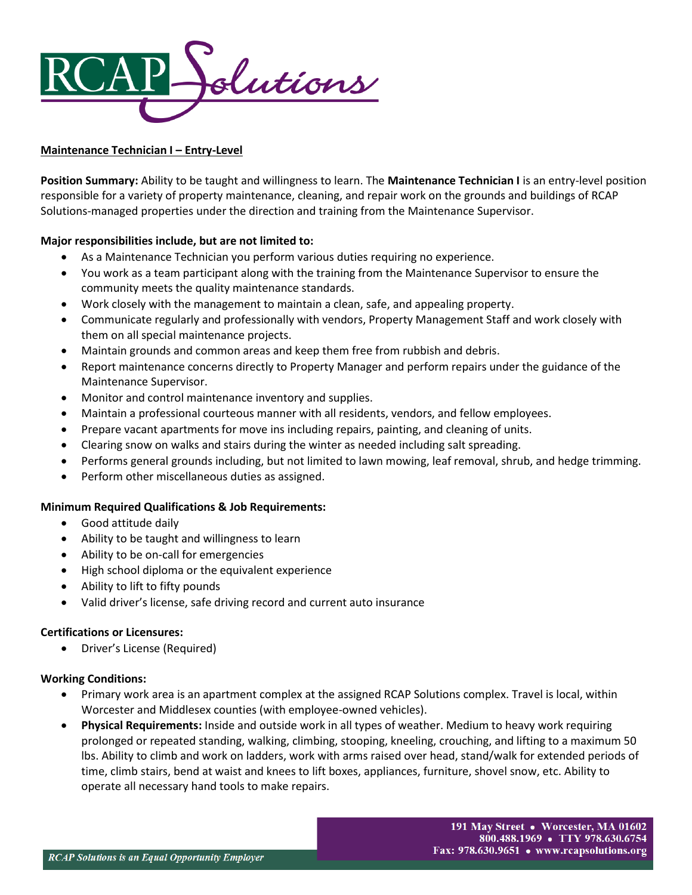

## **Maintenance Technician I – Entry-Level**

**Position Summary:** Ability to be taught and willingness to learn. The **Maintenance Technician I** is an entry-level position responsible for a variety of property maintenance, cleaning, and repair work on the grounds and buildings of RCAP Solutions-managed properties under the direction and training from the Maintenance Supervisor.

# **Major responsibilities include, but are not limited to:**

- As a Maintenance Technician you perform various duties requiring no experience.
- You work as a team participant along with the training from the Maintenance Supervisor to ensure the community meets the quality maintenance standards.
- Work closely with the management to maintain a clean, safe, and appealing property.
- Communicate regularly and professionally with vendors, Property Management Staff and work closely with them on all special maintenance projects.
- Maintain grounds and common areas and keep them free from rubbish and debris.
- Report maintenance concerns directly to Property Manager and perform repairs under the guidance of the Maintenance Supervisor.
- Monitor and control maintenance inventory and supplies.
- Maintain a professional courteous manner with all residents, vendors, and fellow employees.
- Prepare vacant apartments for move ins including repairs, painting, and cleaning of units.
- Clearing snow on walks and stairs during the winter as needed including salt spreading.
- Performs general grounds including, but not limited to lawn mowing, leaf removal, shrub, and hedge trimming.
- Perform other miscellaneous duties as assigned.

### **Minimum Required Qualifications & Job Requirements:**

- Good attitude daily
- Ability to be taught and willingness to learn
- Ability to be on-call for emergencies
- High school diploma or the equivalent experience
- Ability to lift to fifty pounds
- Valid driver's license, safe driving record and current auto insurance

### **Certifications or Licensures:**

• Driver's License (Required)

### **Working Conditions:**

- Primary work area is an apartment complex at the assigned RCAP Solutions complex. Travel is local, within Worcester and Middlesex counties (with employee-owned vehicles).
- **Physical Requirements:** Inside and outside work in all types of weather. Medium to heavy work requiring prolonged or repeated standing, walking, climbing, stooping, kneeling, crouching, and lifting to a maximum 50 lbs. Ability to climb and work on ladders, work with arms raised over head, stand/walk for extended periods of time, climb stairs, bend at waist and knees to lift boxes, appliances, furniture, shovel snow, etc. Ability to operate all necessary hand tools to make repairs.